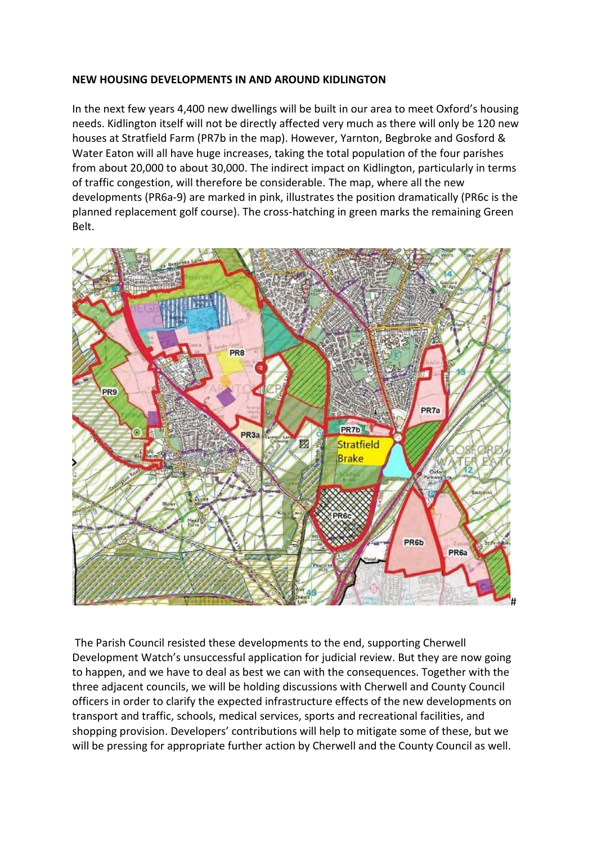## **NEW HOUSING DEVELOPMENTS IN AND AROUND KIDLINGTON**

In the next few years 4,400 new dwellings will be built in our area to meet Oxford's housing needs. Kidlington itself will not be directly affected very much as there will only be 120 new houses at Stratfield Farm (PR7b in the map). However, Yarnton, Begbroke and Gosford & Water Eaton will all have huge increases, taking the total population of the four parishes from about 20,000 to about 30,000. The indirect impact on Kidlington, particularly in terms of traffic congestion, will therefore be considerable. The map, where all the new developments (PR6a-9) are marked in pink, illustrates the position dramatically (PR6c is the planned replacement golf course). The cross-hatching in green marks the remaining Green Belt.



The Parish Council resisted these developments to the end, supporting Cherwell Development Watch's unsuccessful application for judicial review. But they are now going to happen, and we have to deal as best we can with the consequences. Together with the three adjacent councils, we will be holding discussions with Cherwell and County Council officers in order to clarify the expected infrastructure effects of the new developments on transport and traffic, schools, medical services, sports and recreational facilities, and shopping provision. Developers' contributions will help to mitigate some of these, but we will be pressing for appropriate further action by Cherwell and the County Council as well.